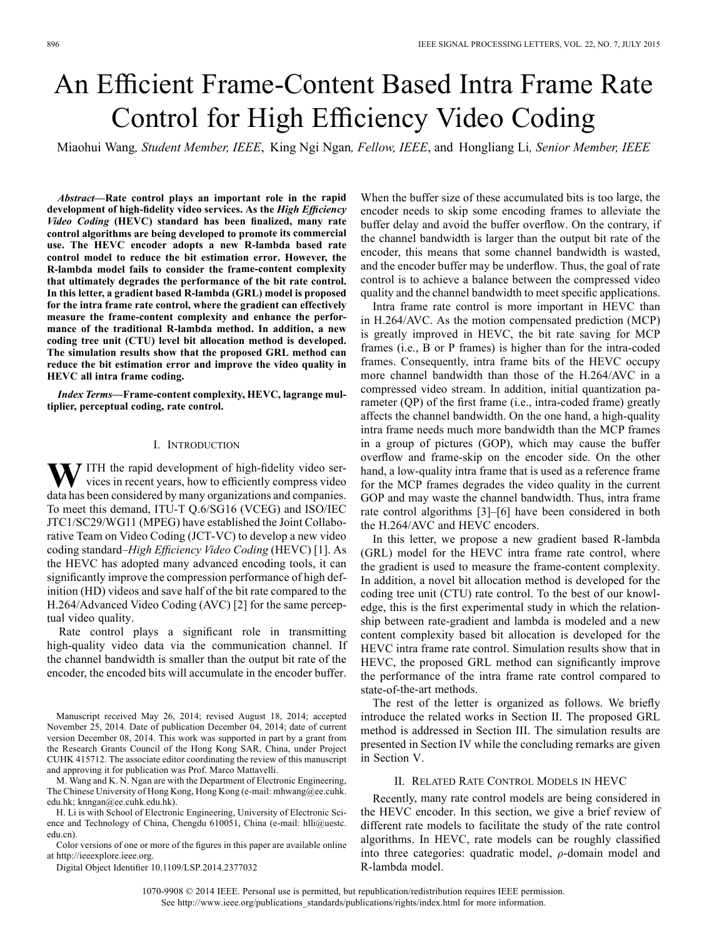# An Efficient Frame-Content Based Intra Frame Rate Control for High Efficiency Video Coding

Miaohui Wang*, Student Member, IEEE*, King Ngi Ngan*, Fellow, IEEE*, and Hongliang Li*, Senior Member, IEEE*

*Abstract—***Rate control plays an important role in the rapid development of high-fidelity video services. As the** *High Efficiency Video Coding* **(HEVC) standard has been finalized, many rate control algorithms are being developed to promote its commercial use. The HEVC encoder adopts a new R-lambda based rate control model to reduce the bit estimation error. However, the R-lambda model fails to consider the frame-content complexity that ultimately degrades the performance of the bit rate control. In this letter, a gradient based R-lambda (GRL) model is proposed for the intra frame rate control, where the gradient can effectively measure the frame-content complexity and enhance the performance of the traditional R-lambda method. In addition, a new coding tree unit (CTU) level bit allocation method is developed. The simulation results show that the proposed GRL method can reduce the bit estimation error and improve the video quality in HEVC all intra frame coding.**

*Index Terms—***Frame-content complexity, HEVC, lagrange multiplier, perceptual coding, rate control.**

## I. INTRODUCTION

**W** ITH the rapid development of high-fidelity video services in recent years, how to efficiently compress video data has been considered by many organizations and companies. To meet this demand, ITU-T Q.6/SG16 (VCEG) and ISO/IEC JTC1/SC29/WG11 (MPEG) have established the Joint Collaborative Team on Video Coding (JCT-VC) to develop a new video coding standard–*High Efficiency Video Coding* (HEVC) [1]. As the HEVC has adopted many advanced encoding tools, it can significantly improve the compression performance of high definition (HD) videos and save half of the bit rate compared to the H.264/Advanced Video Coding (AVC) [2] for the same perceptual video quality.

Rate control plays a significant role in transmitting high-quality video data via the communication channel. If the channel bandwidth is smaller than the output bit rate of the encoder, the encoded bits will accumulate in the encoder buffer.

Manuscript received May 26, 2014; revised August 18, 2014; accepted November 25, 2014. Date of publication December 04, 2014; date of current version December 08, 2014. This work was supported in part by a grant from the Research Grants Council of the Hong Kong SAR, China, under Project CUHK 415712. The associate editor coordinating the review of this manuscript and approving it for publication was Prof. Marco Mattavelli.

M. Wang and K. N. Ngan are with the Department of Electronic Engineering, The Chinese University of Hong Kong, Hong Kong (e-mail: mhwang@ee.cuhk. edu.hk; knngan@ee.cuhk.edu.hk).

H. Li is with School of Electronic Engineering, University of Electronic Science and Technology of China, Chengdu 610051, China (e-mail: hlli@uestc. edu.cn).

Color versions of one or more of the figures in this paper are available online at http://ieeexplore.ieee.org.

Digital Object Identifier 10.1109/LSP.2014.2377032

When the buffer size of these accumulated bits is too large, the encoder needs to skip some encoding frames to alleviate the buffer delay and avoid the buffer overflow. On the contrary, if the channel bandwidth is larger than the output bit rate of the encoder, this means that some channel bandwidth is wasted, and the encoder buffer may be underflow. Thus, the goal of rate control is to achieve a balance between the compressed video quality and the channel bandwidth to meet specific applications.

Intra frame rate control is more important in HEVC than in H.264/AVC. As the motion compensated prediction (MCP) is greatly improved in HEVC, the bit rate saving for MCP frames (i.e., B or P frames) is higher than for the intra-coded frames. Consequently, intra frame bits of the HEVC occupy more channel bandwidth than those of the H.264/AVC in a compressed video stream. In addition, initial quantization parameter (QP) of the first frame (i.e., intra-coded frame) greatly affects the channel bandwidth. On the one hand, a high-quality intra frame needs much more bandwidth than the MCP frames in a group of pictures (GOP), which may cause the buffer overflow and frame-skip on the encoder side. On the other hand, a low-quality intra frame that is used as a reference frame for the MCP frames degrades the video quality in the current GOP and may waste the channel bandwidth. Thus, intra frame rate control algorithms [3]–[6] have been considered in both the H.264/AVC and HEVC encoders.

In this letter, we propose a new gradient based R-lambda (GRL) model for the HEVC intra frame rate control, where the gradient is used to measure the frame-content complexity. In addition, a novel bit allocation method is developed for the coding tree unit (CTU) rate control. To the best of our knowledge, this is the first experimental study in which the relationship between rate-gradient and lambda is modeled and a new content complexity based bit allocation is developed for the HEVC intra frame rate control. Simulation results show that in HEVC, the proposed GRL method can significantly improve the performance of the intra frame rate control compared to state-of-the-art methods.

The rest of the letter is organized as follows. We briefly introduce the related works in Section II. The proposed GRL method is addressed in Section III. The simulation results are presented in Section IV while the concluding remarks are given in Section V.

## II. RELATED RATE CONTROL MODELS IN HEVC

Recently, many rate control models are being considered in the HEVC encoder. In this section, we give a brief review of different rate models to facilitate the study of the rate control algorithms. In HEVC, rate models can be roughly classified into three categories: quadratic model,  $\rho$ -domain model and R-lambda model.

1070-9908 © 2014 IEEE. Personal use is permitted, but republication/redistribution requires IEEE permission. See http://www.ieee.org/publications\_standards/publications/rights/index.html for more information.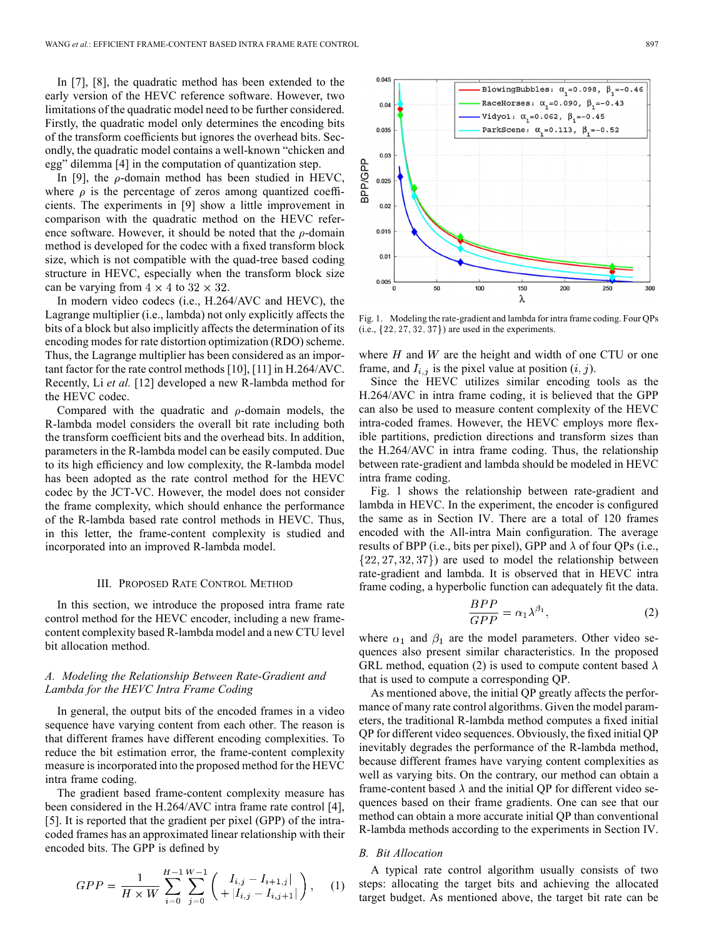In [7], [8], the quadratic method has been extended to the early version of the HEVC reference software. However, two limitations of the quadratic model need to be further considered. Firstly, the quadratic model only determines the encoding bits of the transform coefficients but ignores the overhead bits. Secondly, the quadratic model contains a well-known "chicken and egg" dilemma [4] in the computation of quantization step.

In [9], the  $\rho$ -domain method has been studied in HEVC, where  $\rho$  is the percentage of zeros among quantized coefficients. The experiments in [9] show a little improvement in comparison with the quadratic method on the HEVC reference software. However, it should be noted that the  $\rho$ -domain method is developed for the codec with a fixed transform block size, which is not compatible with the quad-tree based coding structure in HEVC, especially when the transform block size can be varying from  $4 \times 4$  to  $32 \times 32$ .

In modern video codecs (i.e., H.264/AVC and HEVC), the Lagrange multiplier (i.e., lambda) not only explicitly affects the bits of a block but also implicitly affects the determination of its encoding modes for rate distortion optimization (RDO) scheme. Thus, the Lagrange multiplier has been considered as an important factor for the rate control methods [10], [11] in H.264/AVC. Recently, Li *et al.* [12] developed a new R-lambda method for the HEVC codec.

Compared with the quadratic and  $\rho$ -domain models, the R-lambda model considers the overall bit rate including both the transform coefficient bits and the overhead bits. In addition, parameters in the R-lambda model can be easily computed. Due to its high efficiency and low complexity, the R-lambda model has been adopted as the rate control method for the HEVC codec by the JCT-VC. However, the model does not consider the frame complexity, which should enhance the performance of the R-lambda based rate control methods in HEVC. Thus, in this letter, the frame-content complexity is studied and incorporated into an improved R-lambda model.

#### III. PROPOSED RATE CONTROL METHOD

In this section, we introduce the proposed intra frame rate control method for the HEVC encoder, including a new framecontent complexity based R-lambda model and a new CTU level bit allocation method.

## *A. Modeling the Relationship Between Rate-Gradient and Lambda for the HEVC Intra Frame Coding*

In general, the output bits of the encoded frames in a video sequence have varying content from each other. The reason is that different frames have different encoding complexities. To reduce the bit estimation error, the frame-content complexity measure is incorporated into the proposed method for the HEVC intra frame coding.

The gradient based frame-content complexity measure has been considered in the H.264/AVC intra frame rate control [4], [5]. It is reported that the gradient per pixel (GPP) of the intracoded frames has an approximated linear relationship with their encoded bits. The GPP is defined by

$$
GPP = \frac{1}{H \times W} \sum_{i=0}^{H-1} \sum_{j=0}^{W-1} \left( \begin{array}{c} |I_{i,j} - I_{i+1,j}| \\ + |I_{i,j} - I_{i,j+1}| \end{array} \right), \quad (1)
$$



Fig. 1. Modeling the rate-gradient and lambda for intra frame coding. Four QPs (i.e.,  $\{22, 27, 32, 37\}$ ) are used in the experiments.

where  $H$  and  $W$  are the height and width of one CTU or one frame, and  $I_{i,j}$  is the pixel value at position  $(i, j)$ .

Since the HEVC utilizes similar encoding tools as the H.264/AVC in intra frame coding, it is believed that the GPP can also be used to measure content complexity of the HEVC intra-coded frames. However, the HEVC employs more flexible partitions, prediction directions and transform sizes than the H.264/AVC in intra frame coding. Thus, the relationship between rate-gradient and lambda should be modeled in HEVC intra frame coding.

Fig. 1 shows the relationship between rate-gradient and lambda in HEVC. In the experiment, the encoder is configured the same as in Section IV. There are a total of 120 frames encoded with the All-intra Main configuration. The average results of BPP (i.e., bits per pixel), GPP and  $\lambda$  of four QPs (i.e.,  $\{22, 27, 32, 37\}$  are used to model the relationship between rate-gradient and lambda. It is observed that in HEVC intra frame coding, a hyperbolic function can adequately fit the data.

$$
\frac{BPP}{GPP} = \alpha_1 \lambda^{\beta_1},\tag{2}
$$

where  $\alpha_1$  and  $\beta_1$  are the model parameters. Other video sequences also present similar characteristics. In the proposed GRL method, equation (2) is used to compute content based  $\lambda$ that is used to compute a corresponding QP.

As mentioned above, the initial QP greatly affects the performance of many rate control algorithms. Given the model parameters, the traditional R-lambda method computes a fixed initial QP for different video sequences. Obviously, the fixed initial QP inevitably degrades the performance of the R-lambda method, because different frames have varying content complexities as well as varying bits. On the contrary, our method can obtain a frame-content based  $\lambda$  and the initial QP for different video sequences based on their frame gradients. One can see that our method can obtain a more accurate initial QP than conventional R-lambda methods according to the experiments in Section IV.

#### *B. Bit Allocation*

A typical rate control algorithm usually consists of two steps: allocating the target bits and achieving the allocated target budget. As mentioned above, the target bit rate can be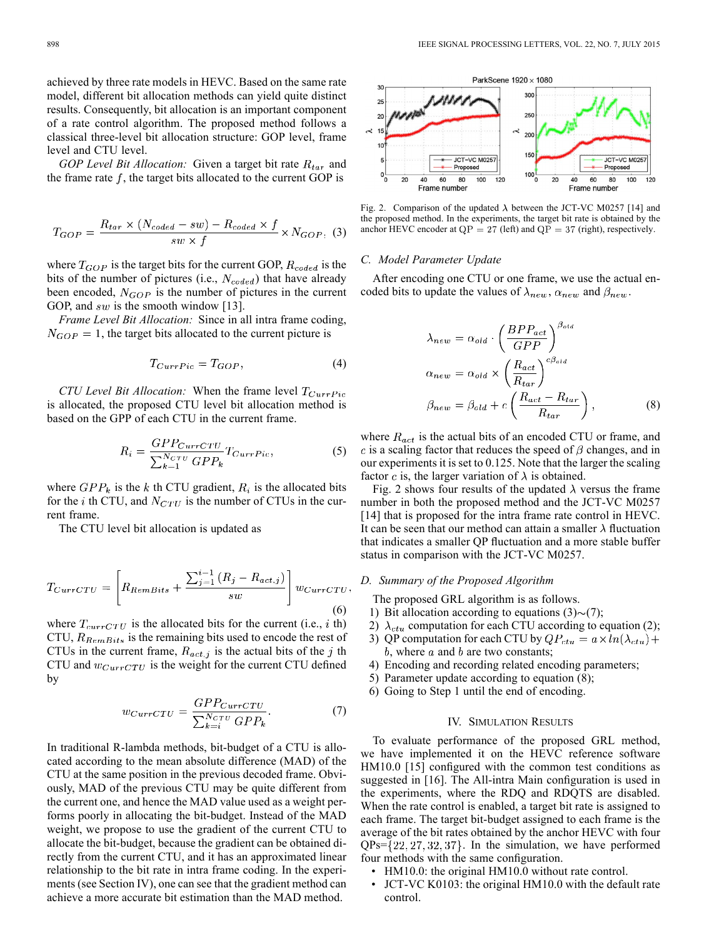achieved by three rate models in HEVC. Based on the same rate model, different bit allocation methods can yield quite distinct results. Consequently, bit allocation is an important component of a rate control algorithm. The proposed method follows a classical three-level bit allocation structure: GOP level, frame level and CTU level.

*GOP Level Bit Allocation:* Given a target bit rate  $R_{tar}$  and the frame rate  $f$ , the target bits allocated to the current GOP is

$$
T_{GOP} = \frac{R_{tar} \times (N_{coded} - sw) - R_{coded} \times f}{sw \times f} \times N_{GOP},
$$
 (3)

where  $T_{GOP}$  is the target bits for the current GOP,  $R_{coded}$  is the bits of the number of pictures (i.e.,  $N_{code}$ ) that have already been encoded,  $N_{GOP}$  is the number of pictures in the current GOP, and  $sw$  is the smooth window [13].

*Frame Level Bit Allocation:* Since in all intra frame coding,  $N_{GOP} = 1$ , the target bits allocated to the current picture is

$$
T_{CurrPic} = T_{GOP},\tag{4}
$$

*CTU Level Bit Allocation:* When the frame level is allocated, the proposed CTU level bit allocation method is based on the GPP of each CTU in the current frame.

$$
R_i = \frac{GPP_{CurrCTU}}{\sum_{k=1}^{N_{CTU}} GPP_k} T_{CurrPic},
$$
\n(5)

where  $GPP_k$  is the k th CTU gradient,  $R_i$  is the allocated bits for the i th CTU, and  $N_{CTU}$  is the number of CTUs in the current frame.

The CTU level bit allocation is updated as

$$
T_{CurrCTU} = \left[ R_{RemBits} + \frac{\sum_{j=1}^{i-1} (R_j - R_{act,j})}{sw} \right] w_{CurrCTU},
$$
\n(6)

where  $T_{currCTU}$  is the allocated bits for the current (i.e., i th) CTU,  $R_{RemBits}$  is the remaining bits used to encode the rest of CTUs in the current frame,  $R_{act,j}$  is the actual bits of the j th CTU and  $w_{CurrCTU}$  is the weight for the current CTU defined by

$$
w_{CurrCTU} = \frac{GPP_{CurrCTU}}{\sum_{k=i}^{N_{CTU}} GPP_k}.
$$
 (7)

In traditional R-lambda methods, bit-budget of a CTU is allocated according to the mean absolute difference (MAD) of the CTU at the same position in the previous decoded frame. Obviously, MAD of the previous CTU may be quite different from the current one, and hence the MAD value used as a weight performs poorly in allocating the bit-budget. Instead of the MAD weight, we propose to use the gradient of the current CTU to allocate the bit-budget, because the gradient can be obtained directly from the current CTU, and it has an approximated linear relationship to the bit rate in intra frame coding. In the experiments (see Section IV), one can see that the gradient method can achieve a more accurate bit estimation than the MAD method.



Fig. 2. Comparison of the updated  $\lambda$  between the JCT-VC M0257 [14] and the proposed method. In the experiments, the target bit rate is obtained by the anchor HEVC encoder at  $QP = 27$  (left) and  $QP = 37$  (right), respectively.

## *C. Model Parameter Update*

After encoding one CTU or one frame, we use the actual encoded bits to update the values of  $\lambda_{new}$ ,  $\alpha_{new}$  and  $\beta_{new}$ .

$$
\lambda_{new} = \alpha_{old} \cdot \left(\frac{BPP_{act}}{GPP}\right)^{\beta_{old}}
$$

$$
\alpha_{new} = \alpha_{old} \times \left(\frac{R_{act}}{R_{tar}}\right)^{c\beta_{old}}
$$

$$
\beta_{new} = \beta_{old} + c\left(\frac{R_{act} - R_{tar}}{R_{tar}}\right),
$$
(8)

where  $R_{act}$  is the actual bits of an encoded CTU or frame, and  $c$  is a scaling factor that reduces the speed of  $\beta$  changes, and in our experiments it is set to 0.125. Note that the larger the scaling factor c is, the larger variation of  $\lambda$  is obtained.

Fig. 2 shows four results of the updated  $\lambda$  versus the frame number in both the proposed method and the JCT-VC M0257 [14] that is proposed for the intra frame rate control in HEVC. It can be seen that our method can attain a smaller  $\lambda$  fluctuation that indicates a smaller QP fluctuation and a more stable buffer status in comparison with the JCT-VC M0257.

## *D. Summary of the Proposed Algorithm*

The proposed GRL algorithm is as follows.

- 1) Bit allocation according to equations (3) $\sim$ (7);
- 2)  $\lambda_{ctu}$  computation for each CTU according to equation (2);
- 3) QP computation for each CTU by  $QP_{ctu} = a \times ln(\lambda_{ctu}) +$  $b$ , where  $a$  and  $b$  are two constants;
- 4) Encoding and recording related encoding parameters;
- 5) Parameter update according to equation (8);
- 6) Going to Step 1 until the end of encoding.

#### IV. SIMULATION RESULTS

To evaluate performance of the proposed GRL method, we have implemented it on the HEVC reference software HM10.0 [15] configured with the common test conditions as suggested in [16]. The All-intra Main configuration is used in the experiments, where the RDQ and RDQTS are disabled. When the rate control is enabled, a target bit rate is assigned to each frame. The target bit-budget assigned to each frame is the average of the bit rates obtained by the anchor HEVC with four  $QPs = \{22, 27, 32, 37\}$ . In the simulation, we have performed four methods with the same configuration.

- HM10.0: the original HM10.0 without rate control.
- JCT-VC K0103: the original HM10.0 with the default rate control.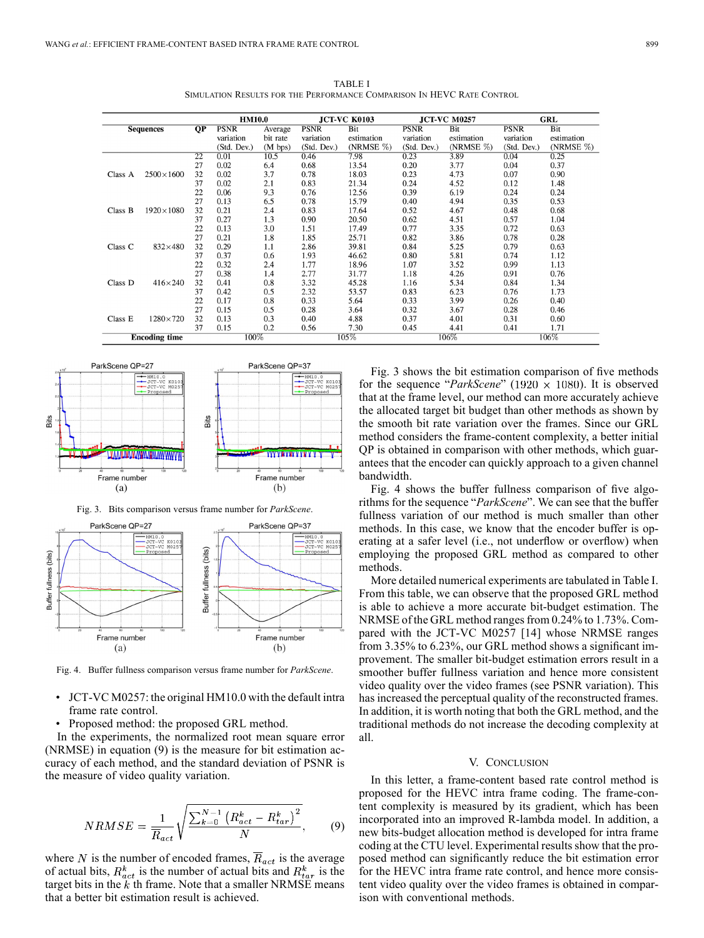| <b>TABLE I</b>                                                         |
|------------------------------------------------------------------------|
| SIMULATION RESULTS FOR THE PERFORMANCE COMPARISON IN HEVC RATE CONTROL |

|                      |                    | <b>HM10.0</b>   |             | <b>JCT-VC K0103</b> |             | <b>JCT-VC M0257</b> |             | <b>GRL</b>   |             |            |
|----------------------|--------------------|-----------------|-------------|---------------------|-------------|---------------------|-------------|--------------|-------------|------------|
| <b>Sequences</b>     |                    | $\overline{OP}$ | <b>PSNR</b> | Average             | <b>PSNR</b> | <b>Bit</b>          | <b>PSNR</b> | <b>Bit</b>   | <b>PSNR</b> | <b>Bit</b> |
|                      |                    |                 | variation   | bit rate            | variation   | estimation          | variation   | estimation   | variation   | estimation |
|                      |                    |                 | (Std. Dev.) | (M bps)             | (Std. Dev.) | (NRMSE %            | (Std. Dev.) | (NRMSE $%$ ) | (Std. Dev.) | (NRMSE %)  |
|                      |                    | 22              | 0.01        | 10.5                | 0.46        | 7.98                | 0.23        | 3.89         | 0.04        | 0.25       |
|                      |                    | 27              | 0.02        | 6.4                 | 0.68        | 13.54               | 0.20        | 3.77         | 0.04        | 0.37       |
| Class A              | $2500\times1600$   | 32              | 0.02        | 3.7                 | 0.78        | 18.03               | 0.23        | 4.73         | 0.07        | 0.90       |
|                      |                    | 37              | 0.02        | 2.1                 | 0.83        | 21.34               | 0.24        | 4.52         | 0.12        | 1.48       |
|                      |                    | 22              | 0.06        | 9.3                 | 0.76        | 12.56               | 0.39        | 6.19         | 0.24        | 0.24       |
|                      |                    | 27              | 0.13        | 6.5                 | 0.78        | 15.79               | 0.40        | 4.94         | 0.35        | 0.53       |
| Class B              | $1920 \times 1080$ | 32              | 0.21        | 2.4                 | 0.83        | 17.64               | 0.52        | 4.67         | 0.48        | 0.68       |
|                      |                    | 37              | 0.27        | 1.3                 | 0.90        | 20.50               | 0.62        | 4.51         | 0.57        | 1.04       |
|                      |                    | 22              | 0.13        | 3.0                 | 1.51        | 17.49               | 0.77        | 3.35         | 0.72        | 0.63       |
|                      |                    | 27              | 0.21        | 1.8                 | 1.85        | 25.71               | 0.82        | 3.86         | 0.78        | 0.28       |
| Class C              | $832\times480$     | 32              | 0.29        | 1.1                 | 2.86        | 39.81               | 0.84        | 5.25         | 0.79        | 0.63       |
|                      |                    | 37              | 0.37        | 0.6                 | 1.93        | 46.62               | 0.80        | 5.81         | 0.74        | 1.12       |
|                      |                    | 22              | 0.32        | 2.4                 | 1.77        | 18.96               | 1.07        | 3.52         | 0.99        | 1.13       |
|                      |                    | 27              | 0.38        | 1.4                 | 2.77        | 31.77               | 1.18        | 4.26         | 0.91        | 0.76       |
| Class D              | $416 \times 240$   | 32              | 0.41        | 0.8                 | 3.32        | 45.28               | 1.16        | 5.34         | 0.84        | 1.34       |
|                      |                    | 37              | 0.42        | 0.5                 | 2.32        | 53.57               | 0.83        | 6.23         | 0.76        | 1.73       |
|                      |                    | 22              | 0.17        | 0.8                 | 0.33        | 5.64                | 0.33        | 3.99         | 0.26        | 0.40       |
|                      |                    | 27              | 0.15        | 0.5                 | 0.28        | 3.64                | 0.32        | 3.67         | 0.28        | 0.46       |
| Class E              | $1280 \times 720$  | 32              | 0.13        | 0.3                 | 0.40        | 4.88                | 0.37        | 4.01         | 0.31        | 0.60       |
|                      |                    | 37              | 0.15        | 0.2                 | 0.56        | 7.30                | 0.45        | 4.41         | 0.41        | 1.71       |
| <b>Encoding time</b> |                    |                 | 100%        |                     | 105%        |                     | 106%        |              | 106%        |            |

ParkScene QP=27 ParkScene QP=37 Bits **Bits VVVVVVVVVVVVVVVV** Frame number Frame number  $(b)$  $(a)$ 

Fig. 3. Bits comparison versus frame number for *ParkScene*.



Fig. 4. Buffer fullness comparison versus frame number for *ParkScene*.

- JCT-VC M0257: the original HM10.0 with the default intra frame rate control.
- Proposed method: the proposed GRL method.

In the experiments, the normalized root mean square error (NRMSE) in equation (9) is the measure for bit estimation accuracy of each method, and the standard deviation of PSNR is the measure of video quality variation.

$$
NRMSE = \frac{1}{\overline{R}_{act}} \sqrt{\frac{\sum_{k=0}^{N-1} (R_{act}^k - R_{tar}^k)^2}{N}},
$$
 (9)

where N is the number of encoded frames,  $R_{act}$  is the average of actual bits,  $R_{act}^k$  is the number of actual bits and  $R_{tar}^k$  is the target bits in the  $k$  th frame. Note that a smaller NRMSE means that a better bit estimation result is achieved.

Fig. 3 shows the bit estimation comparison of five methods for the sequence "*ParkScene*" ( $1920 \times 1080$ ). It is observed that at the frame level, our method can more accurately achieve the allocated target bit budget than other methods as shown by the smooth bit rate variation over the frames. Since our GRL method considers the frame-content complexity, a better initial QP is obtained in comparison with other methods, which guarantees that the encoder can quickly approach to a given channel bandwidth.

Fig. 4 shows the buffer fullness comparison of five algorithms for the sequence "*ParkScene*". We can see that the buffer fullness variation of our method is much smaller than other methods. In this case, we know that the encoder buffer is operating at a safer level (i.e., not underflow or overflow) when employing the proposed GRL method as compared to other methods.

More detailed numerical experiments are tabulated in Table I. From this table, we can observe that the proposed GRL method is able to achieve a more accurate bit-budget estimation. The NRMSE of the GRL method ranges from 0.24% to 1.73%. Compared with the JCT-VC M0257 [14] whose NRMSE ranges from 3.35% to 6.23%, our GRL method shows a significant improvement. The smaller bit-budget estimation errors result in a smoother buffer fullness variation and hence more consistent video quality over the video frames (see PSNR variation). This has increased the perceptual quality of the reconstructed frames. In addition, it is worth noting that both the GRL method, and the traditional methods do not increase the decoding complexity at all.

## V. CONCLUSION

In this letter, a frame-content based rate control method is proposed for the HEVC intra frame coding. The frame-content complexity is measured by its gradient, which has been incorporated into an improved R-lambda model. In addition, a new bits-budget allocation method is developed for intra frame coding at the CTU level. Experimental results show that the proposed method can significantly reduce the bit estimation error for the HEVC intra frame rate control, and hence more consistent video quality over the video frames is obtained in comparison with conventional methods.